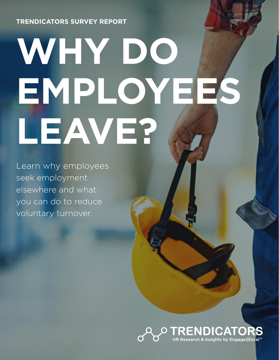**TRENDICATORS SURVEY REPORT** 

# **WHY DO EMPLOYEES LEAVE?**

Learn why employees seek employment elsewhere and what you can do to reduce voluntary turnover.

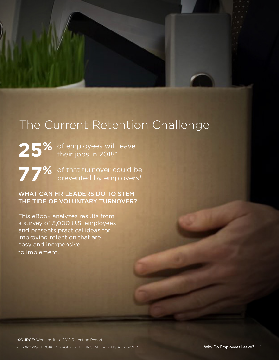# The Current Retention Challenge

25% of employees will leave their jobs in 2018\*

**77%** of that turnover could be prevented by employers\*

WHAT CAN HR LEADERS DO TO STEM THE TIDE OF VOLUNTARY TURNOVER?

This eBook analyzes results from a survey of 5,000 U.S. employees and presents practical ideas for improving retention that are easy and inexpensive to implement.

© COPYRIGHT 2018 ENGAGE2EXCEL, INC. ALL RIGHTS RESERVED WELL WELL WAY Do Employees Leave? 1 \*SOURCE: Work Institute 2018 Retention Report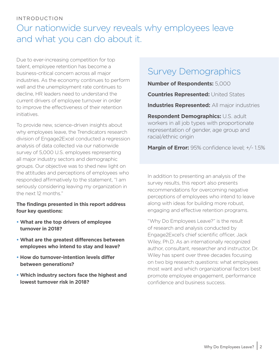## INTRODUCTION

# Our nationwide survey reveals why employees leave and what you can do about it.

Due to ever-increasing competition for top talent, employee retention has become a business-critical concern across all major industries. As the economy continues to perform well and the unemployment rate continues to decline, HR leaders need to understand the current drivers of employee turnover in order to improve the effectiveness of their retention initiatives.

To provide new, science-driven insights about why employees leave, the Trendicators research division of Engage2Excel conducted a regression analysis of data collected via our nationwide survey of 5,000 U.S. employees representing all major industry sectors and demographic groups. Our objective was to shed new light on the attitudes and perceptions of employees who responded affirmatively to the statement, "I am seriously considering leaving my organization in the next 12 months."

### **The findings presented in this report address four key questions:**

- **What are the top drivers of employee turnover in 2018?**
- **What are the greatest differences between employees who intend to stay and leave?**
- **How do turnover-intention levels differ between generations?**
- **Which industry sectors face the highest and lowest turnover risk in 2018?**

# Survey Demographics

**Number of Respondents:** 5,000

**Countries Represented:** United States

**Industries Represented:** All major industries

**Respondent Demographics:** U.S. adult workers in all job types with proportionate representation of gender, age group and racial/ethnic origin

**Margin of Error:** 95% confidence level; +/-1.5%

In addition to presenting an analysis of the survey results, this report also presents recommendations for overcoming negative perceptions of employees who intend to leave along with ideas for building more robust, engaging and effective retention programs.

"Why Do Employees Leave?" is the result of research and analysis conducted by Engage2Excel's chief scientific officer, Jack Wiley, Ph.D. As an internationally recognized author, consultant, researcher and instructor, Dr. Wiley has spent over three decades focusing on two big research questions: what employees most want and which organizational factors best promote employee engagement, performance confidence and business success.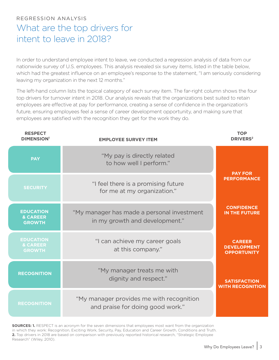# REGRESSION ANALYSIS What are the top drivers for intent to leave in 2018?

In order to understand employee intent to leave, we conducted a regression analysis of data from our nationwide survey of U.S. employees. This analysis revealed six survey items, listed in the table below, which had the greatest influence on an employee's response to the statement, "I am seriously considering leaving my organization in the next 12 months."

The left-hand column lists the topical category of each survey item. The far-right column shows the four top drivers for turnover intent in 2018. Our analysis reveals that the organizations best suited to retain employees are effective at pay for performance, creating a sense of confidence in the organization's future, ensuring employees feel a sense of career development opportunity, and making sure that employees are satisfied with the recognition they get for the work they do.

| <b>RESPECT</b><br><b>DIMENSION'</b>                      | <b>EMPLOYEE SURVEY ITEM</b>                                                  | <b>TOP</b><br><b>DRIVERS<sup>2</sup></b>                  |
|----------------------------------------------------------|------------------------------------------------------------------------------|-----------------------------------------------------------|
| <b>PAY</b>                                               | "My pay is directly related<br>to how well I perform."                       | <b>PAY FOR</b>                                            |
| <b>SECURITY</b>                                          | "I feel there is a promising future<br>for me at my organization."           | <b>PERFORMANCE</b>                                        |
| <b>EDUCATION</b><br><b>&amp; CAREER</b><br><b>GROWTH</b> | "My manager has made a personal investment<br>in my growth and development." | <b>CONFIDENCE</b><br><b>IN THE FUTURE</b>                 |
| <b>EDUCATION</b><br>& CAREER<br><b>GROWTH</b>            | "I can achieve my career goals<br>at this company."                          | <b>CAREER</b><br><b>DEVELOPMENT</b><br><b>OPPORTUNITY</b> |
| <b>RECOGNITION</b>                                       | "My manager treats me with<br>dignity and respect."                          | <b>SATISFACTION</b><br><b>WITH RECOGNITION</b>            |
| <b>RECOGNITION</b>                                       | "My manager provides me with recognition<br>and praise for doing good work." |                                                           |

**SOURCES: 1.** RESPECT is an acronym for the seven dimensions that employees most want from the organization in which they work: Recognition, Exciting Work, Security, Pay, Education and Career Growth, Conditions and Truth. **2.** Top drivers in 2018 are based on comparison with previously reported historical research, "Strategic Employee Research" (Wiley, 2010).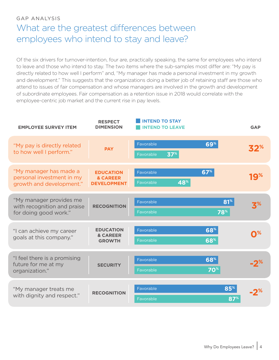## GAP ANALYSIS What are the greatest differences between employees who intend to stay and leave?

Of the six drivers for turnover-intention, four are, practically speaking, the same for employees who intend to leave and those who intend to stay. The two items where the sub-samples most differ are: "My pay is directly related to how well I perform" and, "My manager has made a personal investment in my growth and development." This suggests that the organizations doing a better job of retaining staff are those who attend to issues of fair compensation and whose managers are involved in the growth and development of subordinate employees. Fair compensation as a retention issue in 2018 would correlate with the employee-centric job market and the current rise in pay levels.

| <b>EMPLOYEE SURVEY ITEM</b>                                                     | <b>RESPECT</b><br><b>DIMENSION</b>                            | <b>INTEND TO STAY</b><br><b>INTEND TO LEAVE</b> |                        | <b>GAP</b>        |
|---------------------------------------------------------------------------------|---------------------------------------------------------------|-------------------------------------------------|------------------------|-------------------|
| "My pay is directly related<br>to how well I perform."                          | <b>PAY</b>                                                    | Favorable<br>37 <sup>%</sup><br>Favorable       | 69%                    | 32%               |
| "My manager has made a<br>personal investment in my<br>growth and development." | <b>EDUCATION</b><br><b>&amp; CAREER</b><br><b>DEVELOPMENT</b> | Favorable<br>48%<br>Favorable                   | 67%                    | 19%               |
| "My manager provides me<br>with recognition and praise<br>for doing good work." | <b>RECOGNITION</b>                                            | Favorable<br>Favorable                          | 81 <sup>%</sup><br>78% |                   |
| "I can achieve my career<br>goals at this company."                             | <b>EDUCATION</b><br>& CAREER<br><b>GROWTH</b>                 | Favorable<br>Favorable                          | 68%<br>68%             | $\mathbf{O}^{\%}$ |
| "I feel there is a promising<br>future for me at my<br>organization."           | <b>SECURITY</b>                                               | Favorable<br>Favorable                          | 68%<br><b>70%</b>      | -2*               |
| "My manager treats me<br>with dignity and respect."                             | <b>RECOGNITION</b>                                            | Favorable<br>Favorable                          | 85%<br>87 <sup>%</sup> | -7%               |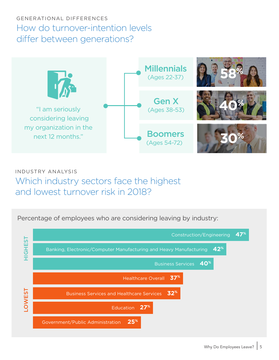# GENERATIONAL DIFFERENCES How do turnover-intention levels differ between generations?



INDUSTRY ANALYSIS Which industry sectors face the highest and lowest turnover risk in 2018?

Percentage of employees who are considering leaving by industry:

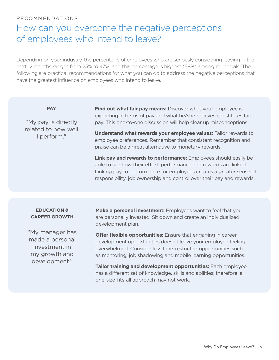#### RECOMMENDATIONS

# How can you overcome the negative perceptions of employees who intend to leave?

Depending on your industry, the percentage of employees who are seriously considering leaving in the next 12 months ranges from 25% to 47%, and this percentage is highest (58%) among millennials. The following are practical recommendations for what you can do to address the negative perceptions that have the greatest influence on employees who intend to leave.

"My pay is directly related to how well I perform."

**PAY Find out what fair pay means:** Discover what your employee is expecting in terms of pay and what he/she believes constitutes fair pay. This one-to-one discussion will help clear up misconceptions.

> **Understand what rewards your employee values:** Tailor rewards to employee preferences. Remember that consistent recognition and praise can be a great alternative to monetary rewards.

**Link pay and rewards to performance:** Employees should easily be able to see how their effort, performance and rewards are linked. Linking pay to performance for employees creates a greater sense of responsibility, job ownership and control over their pay and rewards.

#### **EDUCATION & CAREER GROWTH**

"My manager has made a personal investment in my growth and development."

**Make a personal investment:** Employees want to feel that you are personally invested. Sit down and create an individualized development plan.

**Offer flexible opportunities:** Ensure that engaging in career development opportunities doesn't leave your employee feeling overwhelmed. Consider less time-restricted opportunities such as mentoring, job shadowing and mobile learning opportunities.

**Tailor training and development opportunities:** Each employee has a different set of knowledge, skills and abilities; therefore, a one-size-fits-all approach may not work.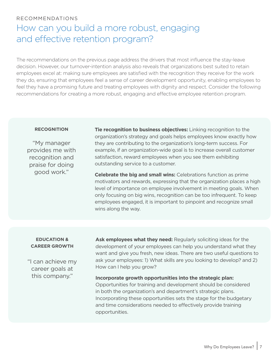#### RECOMMENDATIONS

# How can you build a more robust, engaging and effective retention program?

The recommendations on the previous page address the drivers that most influence the stay-leave decision. However, our turnover-intention analysis also reveals that organizations best suited to retain employees excel at: making sure employees are satisfied with the recognition they receive for the work they do, ensuring that employees feel a sense of career development opportunity, enabling employees to feel they have a promising future and treating employees with dignity and respect. Consider the following recommendations for creating a more robust, engaging and effective employee retention program.

"My manager provides me with recognition and praise for doing good work."

**RECOGNITION Tie recognition to business objectives:** Linking recognition to the organization's strategy and goals helps employees know exactly how they are contributing to the organization's long-term success. For example, if an organization-wide goal is to increase overall customer satisfaction, reward employees when you see them exhibiting outstanding service to a customer.

> **Celebrate the big and small wins:** Celebrations function as prime motivators and rewards, expressing that the organization places a high level of importance on employee involvement in meeting goals. When only focusing on big wins, recognition can be too infrequent. To keep employees engaged, it is important to pinpoint and recognize small wins along the way.

#### **EDUCATION & CAREER GROWTH**

"I can achieve my career goals at this company."

**Ask employees what they need:** Regularly soliciting ideas for the development of your employees can help you understand what they want and give you fresh, new ideas. There are two useful questions to ask your employees: 1) What skills are you looking to develop? and 2) How can I help you grow?

**Incorporate growth opportunities into the strategic plan:**  Opportunities for training and development should be considered in both the organization's and department's strategic plans. Incorporating these opportunities sets the stage for the budgetary and time considerations needed to effectively provide training opportunities.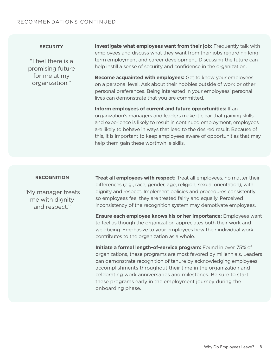#### RECOMMENDATIONS CONTINUED

"I feel there is a promising future for me at my organization."

**SECURITY Investigate what employees want from their job:** Frequently talk with employees and discuss what they want from their jobs regarding longterm employment and career development. Discussing the future can help instill a sense of security and confidence in the organization.

> **Become acquainted with employees:** Get to know your employees on a personal level. Ask about their hobbies outside of work or other personal preferences. Being interested in your employees' personal lives can demonstrate that you are committed.

**Inform employees of current and future opportunities:** If an organization's managers and leaders make it clear that gaining skills and experience is likely to result in continued employment, employees are likely to behave in ways that lead to the desired result. Because of this, it is important to keep employees aware of opportunities that may help them gain these worthwhile skills.

"My manager treats me with dignity and respect."

**RECOGNITION Treat all employees with respect:** Treat all employees, no matter their differences (e.g., race, gender, age, religion, sexual orientation), with dignity and respect. Implement policies and procedures consistently so employees feel they are treated fairly and equally. Perceived inconsistency of the recognition system may demotivate employees.

> **Ensure each employee knows his or her importance:** Employees want to feel as though the organization appreciates both their work and well-being. Emphasize to your employees how their individual work contributes to the organization as a whole.

> **Initiate a formal length-of-service program:** Found in over 75% of organizations, these programs are most favored by millennials. Leaders can demonstrate recognition of tenure by acknowledging employees' accomplishments throughout their time in the organization and celebrating work anniversaries and milestones. Be sure to start these programs early in the employment journey during the onboarding phase.